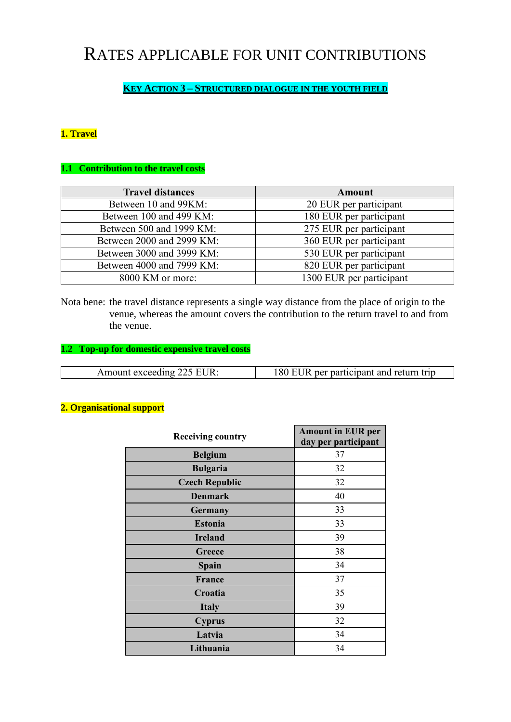# RATES APPLICABLE FOR UNIT CONTRIBUTIONS

# **KEY ACTION 3 – STRUCTURED DIALOGUE IN THE YOUTH FIELD**

## **1. Travel**

### **1.1 Contribution to the travel costs**

| <b>Travel distances</b>   | <b>Amount</b>            |
|---------------------------|--------------------------|
| Between 10 and 99KM:      | 20 EUR per participant   |
| Between 100 and 499 KM:   | 180 EUR per participant  |
| Between 500 and 1999 KM:  | 275 EUR per participant  |
| Between 2000 and 2999 KM: | 360 EUR per participant  |
| Between 3000 and 3999 KM: | 530 EUR per participant  |
| Between 4000 and 7999 KM: | 820 EUR per participant  |
| 8000 KM or more:          | 1300 EUR per participant |

Nota bene: the travel distance represents a single way distance from the place of origin to the venue, whereas the amount covers the contribution to the return travel to and from the venue.

#### **1.2 Top-up for domestic expensive travel costs**

| Amount exceeding 225 EUR: | 180 EUR per participant and return trip |
|---------------------------|-----------------------------------------|

#### **2. Organisational support**

| <b>Receiving country</b> | <b>Amount in EUR per</b> |
|--------------------------|--------------------------|
|                          | day per participant      |
| <b>Belgium</b>           | 37                       |
| <b>Bulgaria</b>          | 32                       |
| <b>Czech Republic</b>    | 32                       |
| <b>Denmark</b>           | 40                       |
| <b>Germany</b>           | 33                       |
| <b>Estonia</b>           | 33                       |
| <b>Ireland</b>           | 39                       |
| Greece                   | 38                       |
| <b>Spain</b>             | 34                       |
| France                   | 37                       |
| Croatia                  | 35                       |
| <b>Italy</b>             | 39                       |
| <b>Cyprus</b>            | 32                       |
| Latvia                   | 34                       |
| Lithuania                | 34                       |